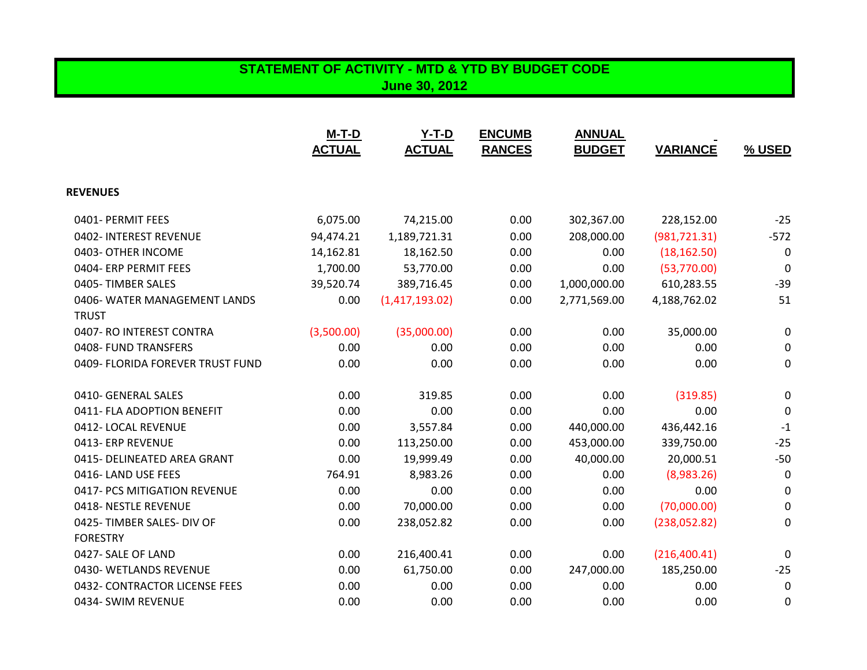### **STATEMENT OF ACTIVITY - MTD & YTD BY BUDGET CODE June 30, 2012**

|                                  | $M-T-D$<br><b>ACTUAL</b> | $Y-T-D$<br><b>ACTUAL</b> | <b>ENCUMB</b><br><b>RANCES</b> | <b>ANNUAL</b><br><b>BUDGET</b> | <b>VARIANCE</b> | <b>% USED</b> |
|----------------------------------|--------------------------|--------------------------|--------------------------------|--------------------------------|-----------------|---------------|
| <b>REVENUES</b>                  |                          |                          |                                |                                |                 |               |
| 0401- PERMIT FEES                | 6,075.00                 | 74,215.00                | 0.00                           | 302,367.00                     | 228,152.00      | $-25$         |
| 0402- INTEREST REVENUE           | 94,474.21                | 1,189,721.31             | 0.00                           | 208,000.00                     | (981, 721.31)   | $-572$        |
| 0403- OTHER INCOME               | 14,162.81                | 18,162.50                | 0.00                           | 0.00                           | (18, 162.50)    | 0             |
| 0404- ERP PERMIT FEES            | 1,700.00                 | 53,770.00                | 0.00                           | 0.00                           | (53,770.00)     | 0             |
| 0405-TIMBER SALES                | 39,520.74                | 389,716.45               | 0.00                           | 1,000,000.00                   | 610,283.55      | $-39$         |
| 0406- WATER MANAGEMENT LANDS     | 0.00                     | (1,417,193.02)           | 0.00                           | 2,771,569.00                   | 4,188,762.02    | 51            |
| <b>TRUST</b>                     |                          |                          |                                |                                |                 |               |
| 0407- RO INTEREST CONTRA         | (3,500.00)               | (35,000.00)              | 0.00                           | 0.00                           | 35,000.00       | 0             |
| 0408- FUND TRANSFERS             | 0.00                     | 0.00                     | 0.00                           | 0.00                           | 0.00            | 0             |
| 0409- FLORIDA FOREVER TRUST FUND | 0.00                     | 0.00                     | 0.00                           | 0.00                           | 0.00            | 0             |
| 0410- GENERAL SALES              | 0.00                     | 319.85                   | 0.00                           | 0.00                           | (319.85)        | 0             |
| 0411- FLA ADOPTION BENEFIT       | 0.00                     | 0.00                     | 0.00                           | 0.00                           | 0.00            | 0             |
| 0412-LOCAL REVENUE               | 0.00                     | 3,557.84                 | 0.00                           | 440,000.00                     | 436,442.16      | $-1$          |
| 0413- ERP REVENUE                | 0.00                     | 113,250.00               | 0.00                           | 453,000.00                     | 339,750.00      | $-25$         |
| 0415- DELINEATED AREA GRANT      | 0.00                     | 19,999.49                | 0.00                           | 40,000.00                      | 20,000.51       | $-50$         |
| 0416-LAND USE FEES               | 764.91                   | 8,983.26                 | 0.00                           | 0.00                           | (8,983.26)      | $\mathbf 0$   |
| 0417- PCS MITIGATION REVENUE     | 0.00                     | 0.00                     | 0.00                           | 0.00                           | 0.00            | 0             |
| 0418- NESTLE REVENUE             | 0.00                     | 70,000.00                | 0.00                           | 0.00                           | (70,000.00)     | 0             |
| 0425-TIMBER SALES- DIV OF        | 0.00                     | 238,052.82               | 0.00                           | 0.00                           | (238,052.82)    | 0             |
| <b>FORESTRY</b>                  |                          |                          |                                |                                |                 |               |
| 0427- SALE OF LAND               | 0.00                     | 216,400.41               | 0.00                           | 0.00                           | (216, 400.41)   | 0             |
| 0430- WETLANDS REVENUE           | 0.00                     | 61,750.00                | 0.00                           | 247,000.00                     | 185,250.00      | $-25$         |
| 0432- CONTRACTOR LICENSE FEES    | 0.00                     | 0.00                     | 0.00                           | 0.00                           | 0.00            | $\mathbf 0$   |
| 0434- SWIM REVENUE               | 0.00                     | 0.00                     | 0.00                           | 0.00                           | 0.00            | 0             |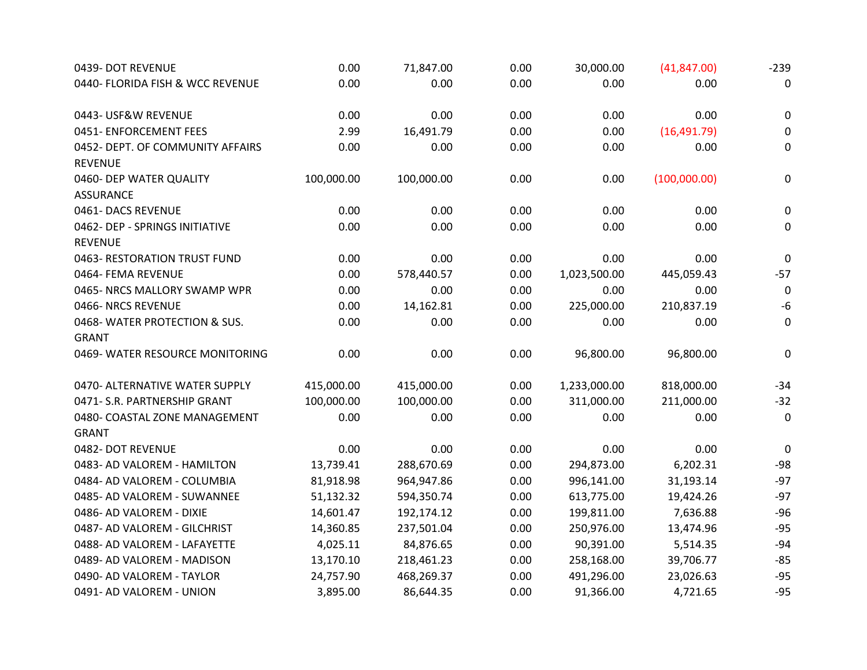| 0439- DOT REVENUE                | 0.00       | 71,847.00  | 0.00 | 30,000.00    | (41, 847.00) | $-239$           |
|----------------------------------|------------|------------|------|--------------|--------------|------------------|
| 0440- FLORIDA FISH & WCC REVENUE | 0.00       | 0.00       | 0.00 | 0.00         | 0.00         | 0                |
| 0443- USF&W REVENUE              | 0.00       | 0.00       | 0.00 | 0.00         | 0.00         | 0                |
| 0451- ENFORCEMENT FEES           | 2.99       | 16,491.79  | 0.00 | 0.00         | (16, 491.79) | $\boldsymbol{0}$ |
| 0452- DEPT. OF COMMUNITY AFFAIRS | 0.00       | 0.00       | 0.00 | 0.00         | 0.00         | 0                |
| <b>REVENUE</b>                   |            |            |      |              |              |                  |
| 0460- DEP WATER QUALITY          | 100,000.00 | 100,000.00 | 0.00 | 0.00         | (100,000.00) | 0                |
| <b>ASSURANCE</b>                 |            |            |      |              |              |                  |
| 0461-DACS REVENUE                | 0.00       | 0.00       | 0.00 | 0.00         | 0.00         | $\mathbf 0$      |
| 0462- DEP - SPRINGS INITIATIVE   | 0.00       | 0.00       | 0.00 | 0.00         | 0.00         | 0                |
| <b>REVENUE</b>                   |            |            |      |              |              |                  |
| 0463- RESTORATION TRUST FUND     | 0.00       | 0.00       | 0.00 | 0.00         | 0.00         | $\mathbf 0$      |
| 0464- FEMA REVENUE               | 0.00       | 578,440.57 | 0.00 | 1,023,500.00 | 445,059.43   | $-57$            |
| 0465- NRCS MALLORY SWAMP WPR     | 0.00       | 0.00       | 0.00 | 0.00         | 0.00         | $\mathbf 0$      |
| 0466-NRCS REVENUE                | 0.00       | 14,162.81  | 0.00 | 225,000.00   | 210,837.19   | $-6$             |
| 0468-WATER PROTECTION & SUS.     | 0.00       | 0.00       | 0.00 | 0.00         | 0.00         | $\mathbf 0$      |
| <b>GRANT</b>                     |            |            |      |              |              |                  |
| 0469- WATER RESOURCE MONITORING  | 0.00       | 0.00       | 0.00 | 96,800.00    | 96,800.00    | 0                |
| 0470- ALTERNATIVE WATER SUPPLY   | 415,000.00 | 415,000.00 | 0.00 | 1,233,000.00 | 818,000.00   | $-34$            |
| 0471- S.R. PARTNERSHIP GRANT     | 100,000.00 | 100,000.00 | 0.00 | 311,000.00   | 211,000.00   | $-32$            |
| 0480- COASTAL ZONE MANAGEMENT    | 0.00       | 0.00       | 0.00 | 0.00         | 0.00         | $\mathbf 0$      |
| <b>GRANT</b>                     |            |            |      |              |              |                  |
| 0482- DOT REVENUE                | 0.00       | 0.00       | 0.00 | 0.00         | 0.00         | 0                |
| 0483- AD VALOREM - HAMILTON      | 13,739.41  | 288,670.69 | 0.00 | 294,873.00   | 6,202.31     | $-98$            |
| 0484- AD VALOREM - COLUMBIA      | 81,918.98  | 964,947.86 | 0.00 | 996,141.00   | 31,193.14    | $-97$            |
| 0485- AD VALOREM - SUWANNEE      | 51,132.32  | 594,350.74 | 0.00 | 613,775.00   | 19,424.26    | $-97$            |
| 0486- AD VALOREM - DIXIE         | 14,601.47  | 192,174.12 | 0.00 | 199,811.00   | 7,636.88     | $-96$            |
| 0487- AD VALOREM - GILCHRIST     | 14,360.85  | 237,501.04 | 0.00 | 250,976.00   | 13,474.96    | $-95$            |
| 0488- AD VALOREM - LAFAYETTE     | 4,025.11   | 84,876.65  | 0.00 | 90,391.00    | 5,514.35     | $-94$            |
| 0489- AD VALOREM - MADISON       | 13,170.10  | 218,461.23 | 0.00 | 258,168.00   | 39,706.77    | $-85$            |
| 0490- AD VALOREM - TAYLOR        | 24,757.90  | 468,269.37 | 0.00 | 491,296.00   | 23,026.63    | $-95$            |
| 0491- AD VALOREM - UNION         | 3,895.00   | 86,644.35  | 0.00 | 91,366.00    | 4,721.65     | $-95$            |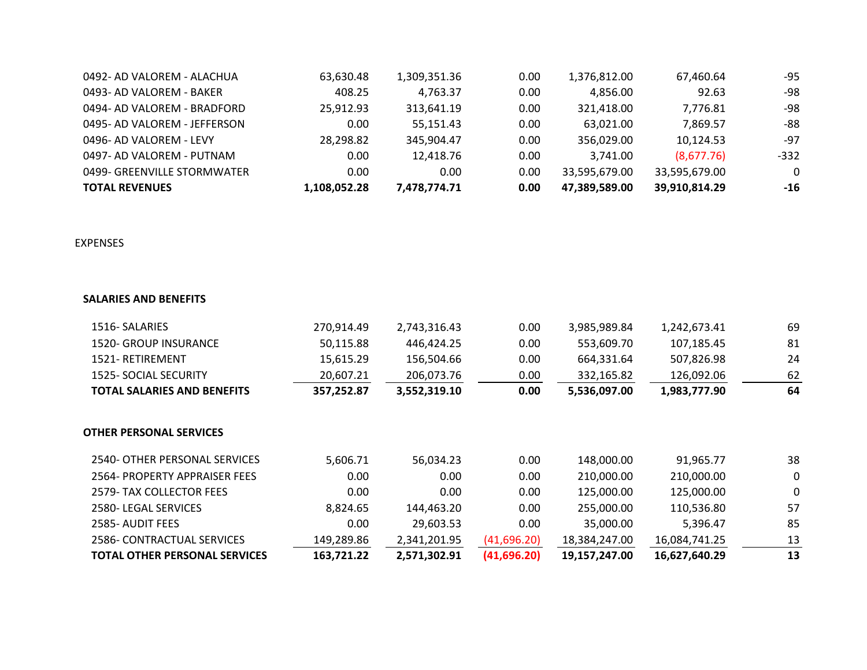### **EXPENSES**

| <b>TOTAL REVENUES</b>        | 1,108,052.28 | 7,478,774.71 | 0.00 | 47,389,589.00 | 39,910,814.29 | $-16$  |
|------------------------------|--------------|--------------|------|---------------|---------------|--------|
| 0499- GREENVILLE STORMWATER  | 0.00         | 0.00         | 0.00 | 33,595,679.00 | 33,595,679.00 |        |
| 0497- AD VALOREM - PUTNAM    | 0.00         | 12,418.76    | 0.00 | 3,741.00      | (8,677.76)    | $-332$ |
| 0496- AD VALOREM - LEVY      | 28,298.82    | 345,904.47   | 0.00 | 356,029.00    | 10,124.53     | -97    |
| 0495- AD VALOREM - JEFFERSON | 0.00         | 55,151.43    | 0.00 | 63,021.00     | 7,869.57      | -88    |
| 0494- AD VALOREM - BRADFORD  | 25,912.93    | 313,641.19   | 0.00 | 321,418.00    | 7,776.81      | -98    |
| 0493- AD VALOREM - BAKER     | 408.25       | 4,763.37     | 0.00 | 4,856.00      | 92.63         | -98    |
| 0492- AD VALOREM - ALACHUA   | 63,630.48    | 1,309,351.36 | 0.00 | 1,376,812.00  | 67,460.64     | -95    |
|                              |              |              |      |               |               |        |

## **SALARIES AND BENEFITS**

- 
- 1520- GROUP INSURANCE
- 1521- RETIREMENT
- 
- **TOTAL SALARIES AND BEN**

| <b>TOTAL SALARIES AND BENEFITS</b> | 357,252.87 | 3,552,319.10 | 0.00 | 5,536,097.00 | 1,983,777.90 | 64 |
|------------------------------------|------------|--------------|------|--------------|--------------|----|
| 1525- SOCIAL SECURITY              | 20,607.21  | 206,073.76   | 0.00 | 332,165.82   | 126,092.06   | 62 |
| 1521-RETIREMENT                    | 15,615.29  | 156,504.66   | 0.00 | 664,331.64   | 507,826.98   | 24 |
| 1520- GROUP INSURANCE              | 50,115.88  | 446,424.25   | 0.00 | 553,609.70   | 107,185.45   | 81 |
| 1516 - SALARIES                    | 270,914.49 | 2,743,316.43 | 0.00 | 3,985,989.84 | 1,242,673.41 | 69 |
|                                    |            |              |      |              |              |    |

| ۰.   |
|------|
| يا ا |

- 2540- OTHER PERSONAL SI
- 2564- PROPERTY APPRAISE
- 2579- TAX COLLECTOR FEE
- 2580- LEGAL SERVICES
- 2585- AUDIT FEES
- 
- **TOTAL OTHER PERSONAL SERVICES 163,721.22 2,571,302.91 (41,696.20) 19,157,247.00 16,627,640.29 13**

### **OTHER PERSONAL SERVICES**

| 2540- OTHER PERSONAL SERVICES        | 5,606.71   | 56,034.23    | 0.00        | 148,000.00    | 91,965.77     | 38                      |
|--------------------------------------|------------|--------------|-------------|---------------|---------------|-------------------------|
| 2564- PROPERTY APPRAISER FEES        | 0.00       | 0.00         | 0.00        | 210,000.00    | 210,000.00    | $\overline{\mathbf{0}}$ |
| 2579- TAX COLLECTOR FEES             | 0.00       | 0.00         | 0.00        | 125,000.00    | 125,000.00    | $\overline{\mathbf{0}}$ |
| 2580-LEGAL SERVICES                  | 8,824.65   | 144,463.20   | 0.00        | 255,000.00    | 110,536.80    | 57                      |
| 2585- AUDIT FEES                     | 0.00       | 29,603.53    | 0.00        | 35,000.00     | 5,396.47      | 85                      |
| 2586- CONTRACTUAL SERVICES           | 149,289.86 | 2,341,201.95 | (41,696.20) | 18,384,247.00 | 16,084,741.25 | 13                      |
| <b>TOTAL OTHER PERSONAL SERVICES</b> | 163,721.22 | 2,571,302.91 | (41,696,20) | 19,157,247.00 | 16,627,640.29 | 13                      |

| 67,460.64     | -95    |
|---------------|--------|
| 92.63         | -98    |
| 7,776.81      | -98    |
| 7,869.57      | -88    |
| 10,124.53     | -97    |
| (8,677,76)    | $-332$ |
| 33,595,679.00 |        |
| 39,910,814.29 | $-16$  |
|               |        |

| 1,983,777.90 | 64 |
|--------------|----|
| 126,092.06   | 62 |
| 507,826.98   | 24 |
| 107,185.45   | 81 |
| 1,242,673.41 | 69 |

| 16,627,640.29 | 13       |
|---------------|----------|
| 16,084,741.25 | 13       |
| 5,396.47      | 85       |
| 110,536.80    | 57       |
| 125,000.00    | $\bf{O}$ |
| 210,000.00    | $\bf{O}$ |
| 91,965.77     | 38       |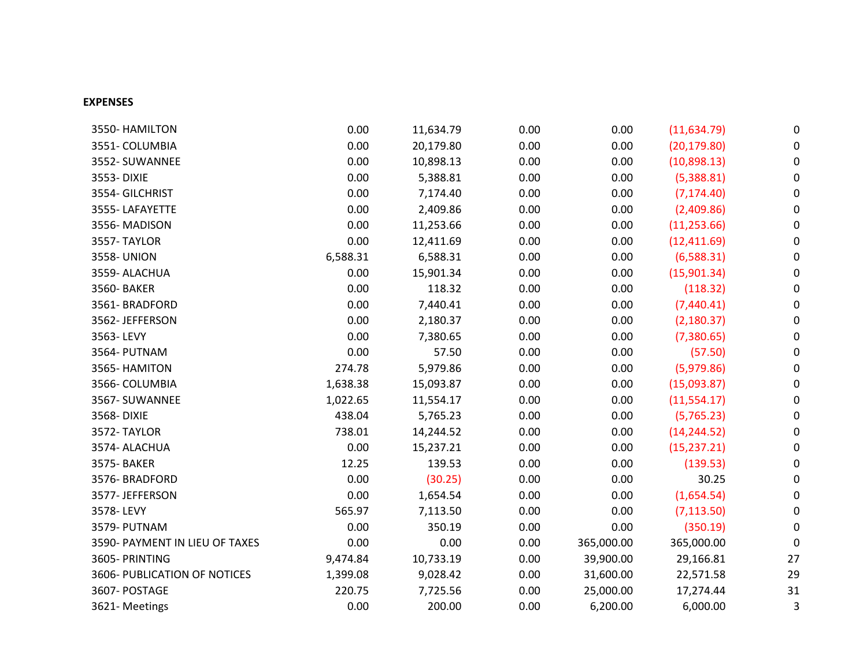### **EXPENSES**

| 3550- HAMILTON                 | 0.00     | 11,634.79 | 0.00 | 0.00       | (11, 634.79) | $\overline{0}$ |
|--------------------------------|----------|-----------|------|------------|--------------|----------------|
| 3551-COLUMBIA                  | 0.00     | 20,179.80 | 0.00 | 0.00       | (20, 179.80) | $\overline{0}$ |
| 3552-SUWANNEE                  | 0.00     | 10,898.13 | 0.00 | 0.00       | (10, 898.13) | $\overline{0}$ |
| 3553-DIXIE                     | 0.00     | 5,388.81  | 0.00 | 0.00       | (5,388.81)   | $\overline{O}$ |
| 3554- GILCHRIST                | 0.00     | 7,174.40  | 0.00 | 0.00       | (7, 174.40)  | $\overline{O}$ |
| 3555-LAFAYETTE                 | 0.00     | 2,409.86  | 0.00 | 0.00       | (2,409.86)   | $\overline{O}$ |
| 3556-MADISON                   | 0.00     | 11,253.66 | 0.00 | 0.00       | (11, 253.66) | $\overline{0}$ |
| 3557-TAYLOR                    | 0.00     | 12,411.69 | 0.00 | 0.00       | (12, 411.69) | $\overline{0}$ |
| <b>3558-UNION</b>              | 6,588.31 | 6,588.31  | 0.00 | 0.00       | (6,588.31)   | $\overline{0}$ |
| 3559-ALACHUA                   | 0.00     | 15,901.34 | 0.00 | 0.00       | (15, 901.34) | $\overline{O}$ |
| 3560- BAKER                    | 0.00     | 118.32    | 0.00 | 0.00       | (118.32)     | $\overline{0}$ |
| 3561-BRADFORD                  | 0.00     | 7,440.41  | 0.00 | 0.00       | (7,440.41)   | $\overline{0}$ |
| 3562-JEFFERSON                 | 0.00     | 2,180.37  | 0.00 | 0.00       | (2, 180.37)  |                |
| 3563-LEVY                      | 0.00     | 7,380.65  | 0.00 | 0.00       | (7,380.65)   | $\overline{0}$ |
| 3564- PUTNAM                   | 0.00     | 57.50     | 0.00 | 0.00       | (57.50)      | $\overline{0}$ |
| 3565- HAMITON                  | 274.78   | 5,979.86  | 0.00 | 0.00       | (5, 979.86)  | $\overline{0}$ |
| 3566- COLUMBIA                 | 1,638.38 | 15,093.87 | 0.00 | 0.00       | (15,093.87)  | $\overline{0}$ |
| 3567- SUWANNEE                 | 1,022.65 | 11,554.17 | 0.00 | 0.00       | (11,554.17)  | $\overline{0}$ |
| 3568-DIXIE                     | 438.04   | 5,765.23  | 0.00 | 0.00       | (5, 765.23)  | $\overline{0}$ |
| 3572-TAYLOR                    | 738.01   | 14,244.52 | 0.00 | 0.00       | (14, 244.52) | $\overline{0}$ |
| 3574- ALACHUA                  | 0.00     | 15,237.21 | 0.00 | 0.00       | (15, 237.21) | $\overline{0}$ |
| 3575- BAKER                    | 12.25    | 139.53    | 0.00 | 0.00       | (139.53)     | $\overline{0}$ |
| 3576- BRADFORD                 | 0.00     | (30.25)   | 0.00 | 0.00       | 30.25        | $\overline{0}$ |
| 3577-JEFFERSON                 | 0.00     | 1,654.54  | 0.00 | 0.00       | (1,654.54)   | $\overline{0}$ |
| 3578-LEVY                      | 565.97   | 7,113.50  | 0.00 | 0.00       | (7, 113.50)  |                |
| 3579- PUTNAM                   | 0.00     | 350.19    | 0.00 | 0.00       | (350.19)     | $\overline{0}$ |
| 3590- PAYMENT IN LIEU OF TAXES | 0.00     | 0.00      | 0.00 | 365,000.00 | 365,000.00   | $\overline{O}$ |
| 3605- PRINTING                 | 9,474.84 | 10,733.19 | 0.00 | 39,900.00  | 29,166.81    | 27             |
| 3606- PUBLICATION OF NOTICES   | 1,399.08 | 9,028.42  | 0.00 | 31,600.00  | 22,571.58    | 29             |
| 3607- POSTAGE                  | 220.75   | 7,725.56  | 0.00 | 25,000.00  | 17,274.44    | 31             |
| 3621-Meetings                  | 0.00     | 200.00    | 0.00 | 6,200.00   | 6,000.00     |                |

```
0
0
0
0
0
0
0
0
0
0
0
0
0
0
0
0
0
0
0
0
0
0
0
0
0
0
0
3
```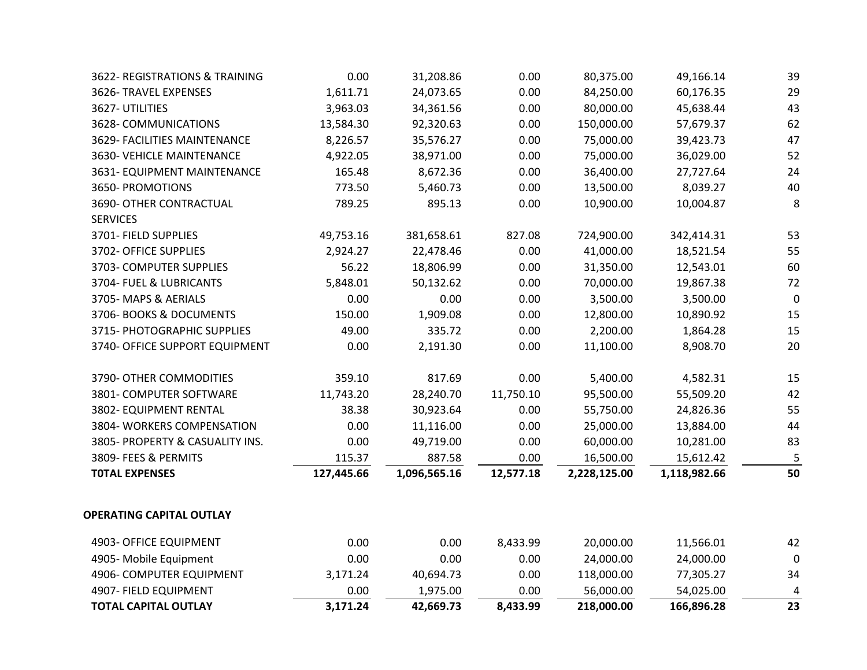- 3622- REGISTRATIONS & T 3626- TRAVEL EXPENSES 3628- COMMUNICATIONS 3629- FACILITIES MAINTEN 3630- VEHICLE MAINTENA 3631- EQUIPMENT MAINT 3650- PROMOTIONS 3690- OTHER CONTRACTU SERVICES 3701- FIELD SUPPLIES 3702- OFFICE SUPPLIES 3703- COMPUTER SUPPLIE 3704- FUEL & LUBRICANTS 3705- MAPS & AERIALS 3706- BOOKS & DOCUMEN 3715- PHOTOGRAPHIC SUP 3740- OFFICE SUPPORT EQ
- 3790- OTHER COMMODIT 3801- COMPUTER SOFTWA 3802- EQUIPMENT RENTAI 3804- WORKERS COMPENS
- 3805- PROPERTY & CASUA
- 3809- FEES & PERMITS
- 

## **OPERATING CAPITAL OUTLA**

- 4903- OFFICE EQUIPMENT
- 

| 4903- OFFICE EQUIPMENT          | 0.00       | 0.00         | 8,433.99  | 20,000.00    | 11,566.01    | 42                                     |
|---------------------------------|------------|--------------|-----------|--------------|--------------|----------------------------------------|
| PERATING CAPITAL OUTLAY         |            |              |           |              |              |                                        |
| <b>TOTAL EXPENSES</b>           | 127,445.66 | 1,096,565.16 | 12,577.18 | 2,228,125.00 | 1,118,982.66 | 50                                     |
| 3809- FEES & PERMITS            | 115.37     | 887.58       | 0.00      | 16,500.00    | 15,612.42    | $\sqrt{2}$<br>$\overline{\phantom{a}}$ |
| 3805- PROPERTY & CASUALITY INS. | 0.00       | 49,719.00    | 0.00      | 60,000.00    | 10,281.00    | 83                                     |
| 3804-WORKERS COMPENSATION       | 0.00       | 11,116.00    | 0.00      | 25,000.00    | 13,884.00    | 44                                     |
| 3802- EQUIPMENT RENTAL          | 38.38      | 30,923.64    | 0.00      | 55,750.00    | 24,826.36    | 55                                     |
| 3801- COMPUTER SOFTWARE         | 11,743.20  | 28,240.70    | 11,750.10 | 95,500.00    | 55,509.20    | 42                                     |
| 3790- OTHER COMMODITIES         | 359.10     | 817.69       | 0.00      | 5,400.00     | 4,582.31     | 15                                     |
| 3740- OFFICE SUPPORT EQUIPMENT  | 0.00       | 2,191.30     | 0.00      | 11,100.00    | 8,908.70     | 20                                     |
| 3715- PHOTOGRAPHIC SUPPLIES     | 49.00      | 335.72       | 0.00      | 2,200.00     | 1,864.28     | 15                                     |
| 3706- BOOKS & DOCUMENTS         | 150.00     | 1,909.08     | 0.00      | 12,800.00    | 10,890.92    | 15                                     |
| 3705-MAPS & AERIALS             | 0.00       | 0.00         | 0.00      | 3,500.00     | 3,500.00     |                                        |
| 3704- FUEL & LUBRICANTS         | 5,848.01   | 50,132.62    | 0.00      | 70,000.00    | 19,867.38    | 72                                     |
| 3703- COMPUTER SUPPLIES         | 56.22      | 18,806.99    | 0.00      | 31,350.00    | 12,543.01    | 60                                     |
| 3702- OFFICE SUPPLIES           | 2,924.27   | 22,478.46    | 0.00      | 41,000.00    | 18,521.54    | 55                                     |
| 3701- FIELD SUPPLIES            | 49,753.16  | 381,658.61   | 827.08    | 724,900.00   | 342,414.31   | 53                                     |
| <b>SERVICES</b>                 |            |              |           |              |              |                                        |
| 3690- OTHER CONTRACTUAL         | 789.25     | 895.13       | 0.00      | 10,900.00    | 10,004.87    | 8                                      |
| 3650- PROMOTIONS                | 773.50     | 5,460.73     | 0.00      | 13,500.00    | 8,039.27     | 40                                     |
| 3631- EQUIPMENT MAINTENANCE     | 165.48     | 8,672.36     | 0.00      | 36,400.00    | 27,727.64    | 24                                     |
| 3630- VEHICLE MAINTENANCE       | 4,922.05   | 38,971.00    | 0.00      | 75,000.00    | 36,029.00    | 52                                     |
| 3629- FACILITIES MAINTENANCE    | 8,226.57   | 35,576.27    | 0.00      | 75,000.00    | 39,423.73    | 47                                     |
| 3628- COMMUNICATIONS            | 13,584.30  | 92,320.63    | 0.00      | 150,000.00   | 57,679.37    | 62                                     |
| 3627-UTILITIES                  | 3,963.03   | 34,361.56    | 0.00      | 80,000.00    | 45,638.44    | 43                                     |
| 3626- TRAVEL EXPENSES           | 1,611.71   | 24,073.65    | 0.00      | 84,250.00    | 60,176.35    | 29                                     |
| 3622- REGISTRATIONS & TRAINING  | 0.00       | 31,208.86    | 0.00      | 80,375.00    | 49,166.14    | 39                                     |

| <b>TOTAL CAPITAL OUTLAY</b> | 3,171.24 | 42,669.73 | 8,433.99 | 218,000.00 | 166,896.28 | 23             |
|-----------------------------|----------|-----------|----------|------------|------------|----------------|
| 4907- FIELD EQUIPMENT       | 0.00     | 1,975.00  | 0.00     | 56,000.00  | 54,025.00  | $\overline{4}$ |
| 4906- COMPUTER EQUIPMENT    | 3,171.24 | 40,694.73 | 0.00     | 118,000.00 | 77,305.27  | 34             |
| 4905- Mobile Equipment      | 0.00     | $0.00\,$  | 0.00     | 24,000.00  | 24,000.00  | $\overline{O}$ |
| 4903- OFFICE EQUIPMENT      | 0.00     | $0.00\,$  | 8,433.99 | 20,000.00  | 11,566.01  | 42             |

- 
- 

| 49,166.14  | 39        |
|------------|-----------|
| 60,176.35  | 29        |
| 45,638.44  | 43        |
| 57,679.37  | 62        |
| 39,423.73  | 47        |
| 36,029.00  | 52        |
| 27,727.64  | 24        |
| 8,039.27   | 40        |
| 10,004.87  | 8         |
| 342,414.31 | 53        |
| 18,521.54  | 55        |
| 12,543.01  | 60        |
| 19,867.38  | 72        |
| 3,500.00   | $\bigcup$ |
| 10,890.92  | 15        |
| 1,864.28   | 15        |
| 8,908.70   | 20        |
| 4,582.31   | 15        |
| 55,509.20  | 42        |
| 24,826.36  | 55        |
| 13,884.00  | 44        |
| 10,281.00  | 83        |
| 15,612.42  |           |
| 118,982.66 | 50        |

| 166,896.28 | 23                       |
|------------|--------------------------|
| 54,025.00  | $\boldsymbol{\varDelta}$ |
| 77,305.27  | 34                       |
| 24,000.00  | $\bigcap$                |
| 11,566.01  | 42                       |